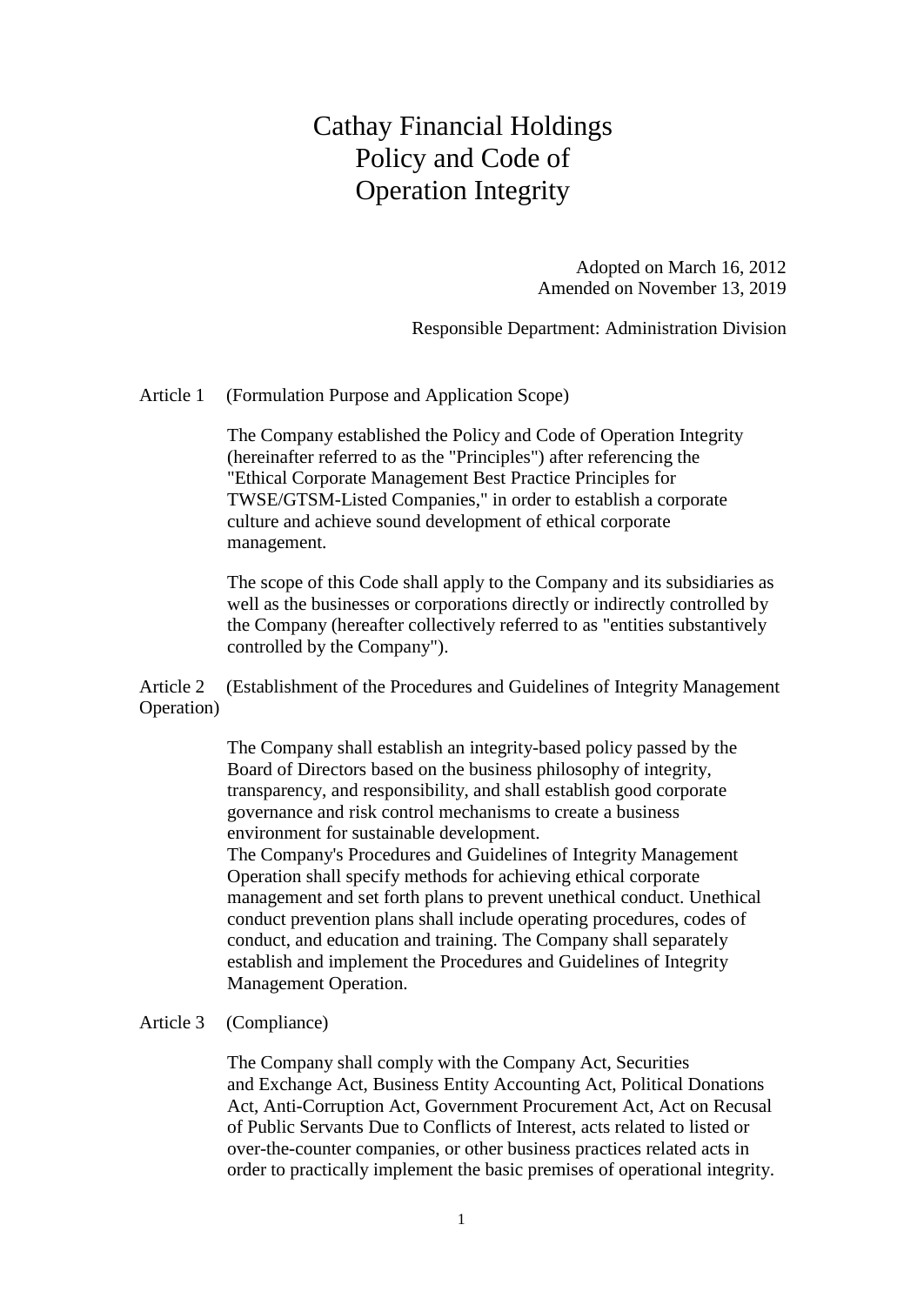## Cathay Financial Holdings Policy and Code of Operation Integrity

Adopted on March 16, 2012 Amended on November 13, 2019

Responsible Department: Administration Division

Article 1 (Formulation Purpose and Application Scope)

The Company established the Policy and Code of Operation Integrity (hereinafter referred to as the "Principles") after referencing the "Ethical Corporate Management Best Practice Principles for TWSE/GTSM-Listed Companies," in order to establish a corporate culture and achieve sound development of ethical corporate management.

The scope of this Code shall apply to the Company and its subsidiaries as well as the businesses or corporations directly or indirectly controlled by the Company (hereafter collectively referred to as "entities substantively controlled by the Company").

Article 2 (Establishment of the Procedures and Guidelines of Integrity Management Operation)

> The Company shall establish an integrity-based policy passed by the Board of Directors based on the business philosophy of integrity, transparency, and responsibility, and shall establish good corporate governance and risk control mechanisms to create a business environment for sustainable development.

The Company's Procedures and Guidelines of Integrity Management Operation shall specify methods for achieving ethical corporate management and set forth plans to prevent unethical conduct. Unethical conduct prevention plans shall include operating procedures, codes of conduct, and education and training. The Company shall separately establish and implement the Procedures and Guidelines of Integrity Management Operation.

## Article 3 (Compliance)

The Company shall comply with the Company Act, Securities and Exchange Act, Business Entity Accounting Act, Political Donations Act, Anti-Corruption Act, Government Procurement Act, Act on Recusal of Public Servants Due to Conflicts of Interest, acts related to listed or over-the-counter companies, or other business practices related acts in order to practically implement the basic premises of operational integrity.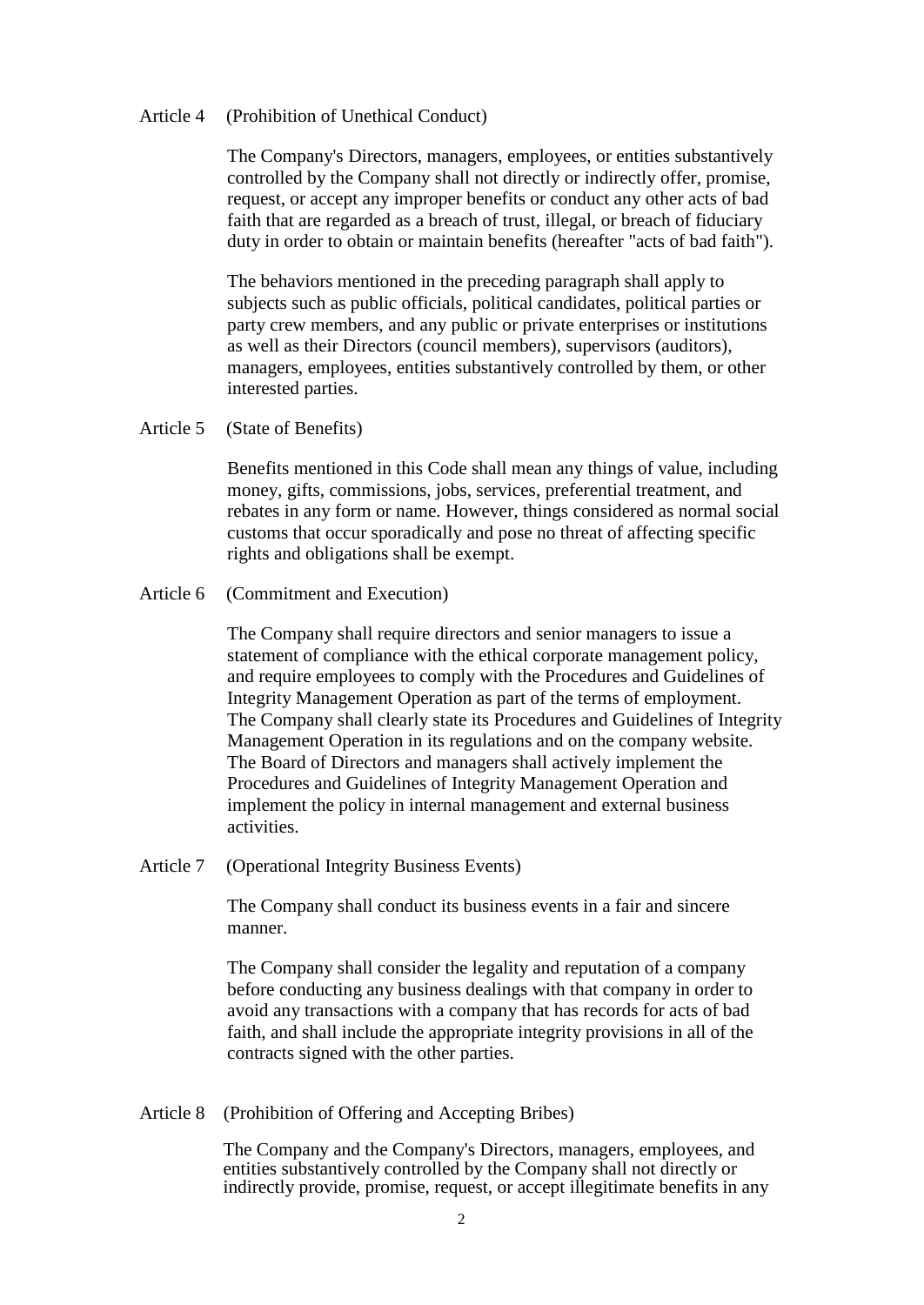## Article 4 (Prohibition of Unethical Conduct)

The Company's Directors, managers, employees, or entities substantively controlled by the Company shall not directly or indirectly offer, promise, request, or accept any improper benefits or conduct any other acts of bad faith that are regarded as a breach of trust, illegal, or breach of fiduciary duty in order to obtain or maintain benefits (hereafter "acts of bad faith").

The behaviors mentioned in the preceding paragraph shall apply to subjects such as public officials, political candidates, political parties or party crew members, and any public or private enterprises or institutions as well as their Directors (council members), supervisors (auditors), managers, employees, entities substantively controlled by them, or other interested parties.

Article 5 (State of Benefits)

Benefits mentioned in this Code shall mean any things of value, including money, gifts, commissions, jobs, services, preferential treatment, and rebates in any form or name. However, things considered as normal social customs that occur sporadically and pose no threat of affecting specific rights and obligations shall be exempt.

Article 6 (Commitment and Execution)

The Company shall require directors and senior managers to issue a statement of compliance with the ethical corporate management policy, and require employees to comply with the Procedures and Guidelines of Integrity Management Operation as part of the terms of employment. The Company shall clearly state its Procedures and Guidelines of Integrity Management Operation in its regulations and on the company website. The Board of Directors and managers shall actively implement the Procedures and Guidelines of Integrity Management Operation and implement the policy in internal management and external business activities.

Article 7 (Operational Integrity Business Events)

The Company shall conduct its business events in a fair and sincere manner.

The Company shall consider the legality and reputation of a company before conducting any business dealings with that company in order to avoid any transactions with a company that has records for acts of bad faith, and shall include the appropriate integrity provisions in all of the contracts signed with the other parties.

Article 8 (Prohibition of Offering and Accepting Bribes)

 The Company and the Company's Directors, managers, employees, and entities substantively controlled by the Company shall not directly or indirectly provide, promise, request, or accept illegitimate benefits in any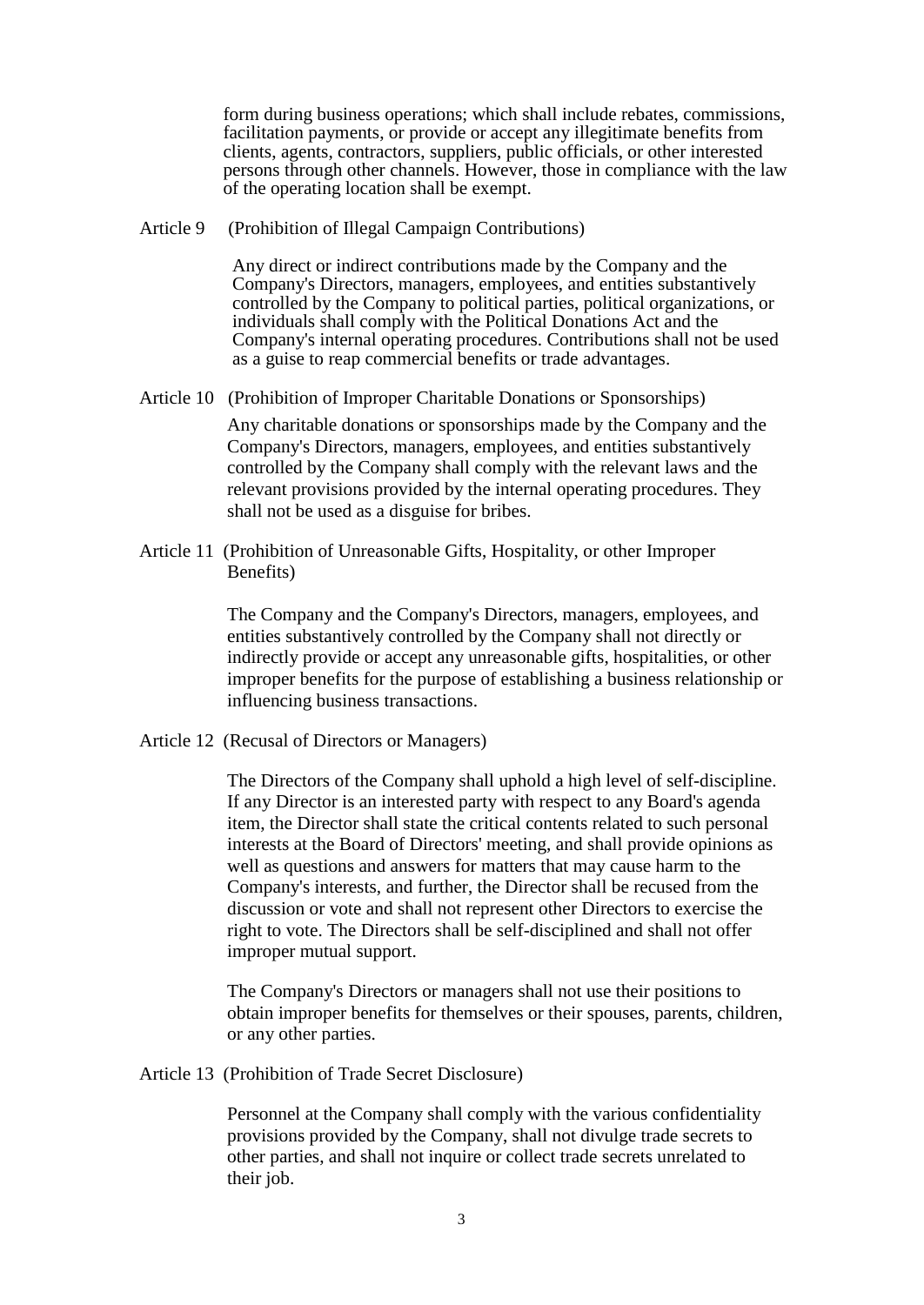form during business operations; which shall include rebates, commissions, facilitation payments, or provide or accept any illegitimate benefits from clients, agents, contractors, suppliers, public officials, or other interested persons through other channels. However, those in compliance with the law of the operating location shall be exempt.

Article 9 (Prohibition of Illegal Campaign Contributions)

Any direct or indirect contributions made by the Company and the Company's Directors, managers, employees, and entities substantively controlled by the Company to political parties, political organizations, or individuals shall comply with the Political Donations Act and the Company's internal operating procedures. Contributions shall not be used as a guise to reap commercial benefits or trade advantages.

Article 10 (Prohibition of Improper Charitable Donations or Sponsorships)

Any charitable donations or sponsorships made by the Company and the Company's Directors, managers, employees, and entities substantively controlled by the Company shall comply with the relevant laws and the relevant provisions provided by the internal operating procedures. They shall not be used as a disguise for bribes.

Article 11 (Prohibition of Unreasonable Gifts, Hospitality, or other Improper Benefits)

> The Company and the Company's Directors, managers, employees, and entities substantively controlled by the Company shall not directly or indirectly provide or accept any unreasonable gifts, hospitalities, or other improper benefits for the purpose of establishing a business relationship or influencing business transactions.

Article 12 (Recusal of Directors or Managers)

The Directors of the Company shall uphold a high level of self-discipline. If any Director is an interested party with respect to any Board's agenda item, the Director shall state the critical contents related to such personal interests at the Board of Directors' meeting, and shall provide opinions as well as questions and answers for matters that may cause harm to the Company's interests, and further, the Director shall be recused from the discussion or vote and shall not represent other Directors to exercise the right to vote. The Directors shall be self-disciplined and shall not offer improper mutual support.

The Company's Directors or managers shall not use their positions to obtain improper benefits for themselves or their spouses, parents, children, or any other parties.

Article 13 (Prohibition of Trade Secret Disclosure)

Personnel at the Company shall comply with the various confidentiality provisions provided by the Company, shall not divulge trade secrets to other parties, and shall not inquire or collect trade secrets unrelated to their job.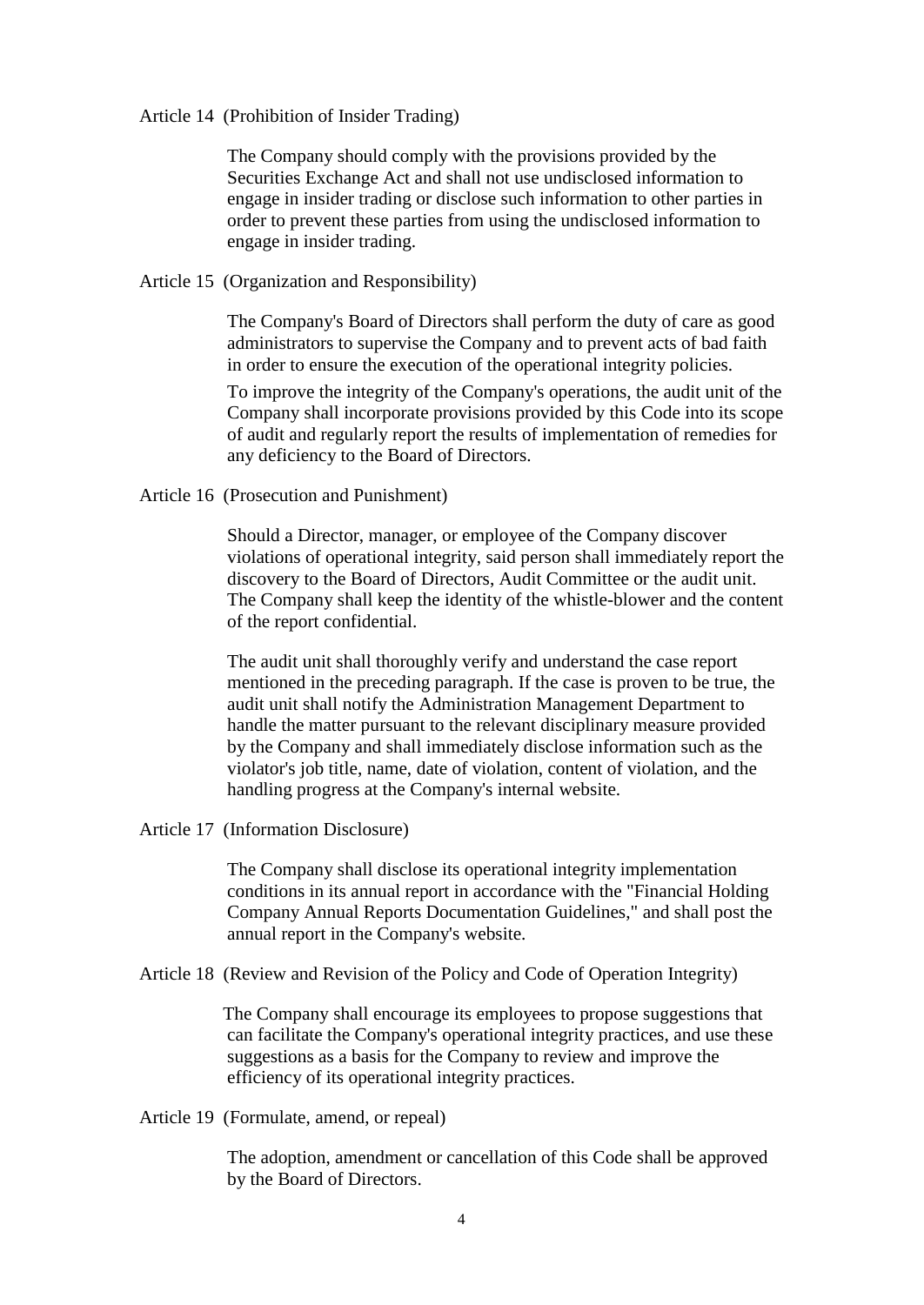## Article 14 (Prohibition of Insider Trading)

The Company should comply with the provisions provided by the Securities Exchange Act and shall not use undisclosed information to engage in insider trading or disclose such information to other parties in order to prevent these parties from using the undisclosed information to engage in insider trading.

Article 15 (Organization and Responsibility)

The Company's Board of Directors shall perform the duty of care as good administrators to supervise the Company and to prevent acts of bad faith in order to ensure the execution of the operational integrity policies.

To improve the integrity of the Company's operations, the audit unit of the Company shall incorporate provisions provided by this Code into its scope of audit and regularly report the results of implementation of remedies for any deficiency to the Board of Directors.

Article 16 (Prosecution and Punishment)

Should a Director, manager, or employee of the Company discover violations of operational integrity, said person shall immediately report the discovery to the Board of Directors, Audit Committee or the audit unit. The Company shall keep the identity of the whistle-blower and the content of the report confidential.

The audit unit shall thoroughly verify and understand the case report mentioned in the preceding paragraph. If the case is proven to be true, the audit unit shall notify the Administration Management Department to handle the matter pursuant to the relevant disciplinary measure provided by the Company and shall immediately disclose information such as the violator's job title, name, date of violation, content of violation, and the handling progress at the Company's internal website.

Article 17 (Information Disclosure)

The Company shall disclose its operational integrity implementation conditions in its annual report in accordance with the "Financial Holding Company Annual Reports Documentation Guidelines," and shall post the annual report in the Company's website.

Article 18 (Review and Revision of the Policy and Code of Operation Integrity)

 The Company shall encourage its employees to propose suggestions that can facilitate the Company's operational integrity practices, and use these suggestions as a basis for the Company to review and improve the efficiency of its operational integrity practices.

Article 19 (Formulate, amend, or repeal)

The adoption, amendment or cancellation of this Code shall be approved by the Board of Directors.